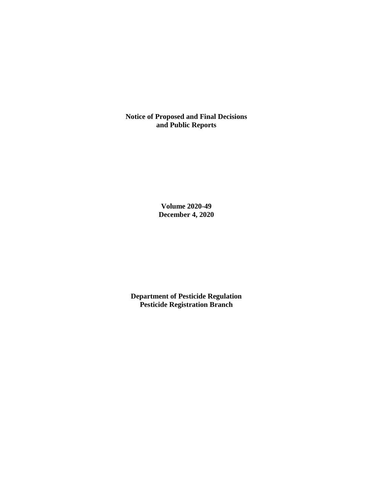**Notice of Proposed and Final Decisions and Public Reports**

> **Volume 2020-49 December 4, 2020**

**Department of Pesticide Regulation Pesticide Registration Branch**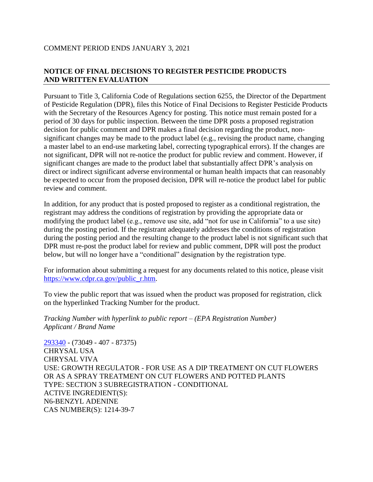# **NOTICE OF FINAL DECISIONS TO REGISTER PESTICIDE PRODUCTS AND WRITTEN EVALUATION**

Pursuant to Title 3, California Code of Regulations section 6255, the Director of the Department of Pesticide Regulation (DPR), files this Notice of Final Decisions to Register Pesticide Products with the Secretary of the Resources Agency for posting. This notice must remain posted for a period of 30 days for public inspection. Between the time DPR posts a proposed registration decision for public comment and DPR makes a final decision regarding the product, nonsignificant changes may be made to the product label (e.g., revising the product name, changing a master label to an end-use marketing label, correcting typographical errors). If the changes are not significant, DPR will not re-notice the product for public review and comment. However, if significant changes are made to the product label that substantially affect DPR's analysis on direct or indirect significant adverse environmental or human health impacts that can reasonably be expected to occur from the proposed decision, DPR will re-notice the product label for public review and comment.

In addition, for any product that is posted proposed to register as a conditional registration, the registrant may address the conditions of registration by providing the appropriate data or modifying the product label (e.g., remove use site, add "not for use in California" to a use site) during the posting period. If the registrant adequately addresses the conditions of registration during the posting period and the resulting change to the product label is not significant such that DPR must re-post the product label for review and public comment, DPR will post the product below, but will no longer have a "conditional" designation by the registration type.

For information about submitting a request for any documents related to this notice, please visit [https://www.cdpr.ca.gov/public\\_r.htm.](https://www.cdpr.ca.gov/public_r.htm)

To view the public report that was issued when the product was proposed for registration, click on the hyperlinked Tracking Number for the product.

*Tracking Number with hyperlink to public report – (EPA Registration Number) Applicant / Brand Name*

[293340](https://www.cdpr.ca.gov/docs/registration/nod/public_reports/293340.pdf) - (73049 - 407 - 87375) CHRYSAL USA CHRYSAL VIVA USE: GROWTH REGULATOR - FOR USE AS A DIP TREATMENT ON CUT FLOWERS OR AS A SPRAY TREATMENT ON CUT FLOWERS AND POTTED PLANTS TYPE: SECTION 3 SUBREGISTRATION - CONDITIONAL ACTIVE INGREDIENT(S): N6-BENZYL ADENINE CAS NUMBER(S): 1214-39-7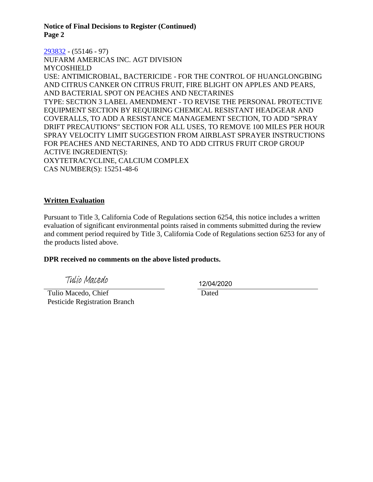**Notice of Final Decisions to Register (Continued) Page 2**

[293832](https://www.cdpr.ca.gov/docs/registration/nod/public_reports/293832.pdf) - (55146 - 97) NUFARM AMERICAS INC. AGT DIVISION MYCOSHIELD USE: ANTIMICROBIAL, BACTERICIDE - FOR THE CONTROL OF HUANGLONGBING AND CITRUS CANKER ON CITRUS FRUIT, FIRE BLIGHT ON APPLES AND PEARS, AND BACTERIAL SPOT ON PEACHES AND NECTARINES TYPE: SECTION 3 LABEL AMENDMENT - TO REVISE THE PERSONAL PROTECTIVE EQUIPMENT SECTION BY REQUIRING CHEMICAL RESISTANT HEADGEAR AND COVERALLS, TO ADD A RESISTANCE MANAGEMENT SECTION, TO ADD "SPRAY DRIFT PRECAUTIONS" SECTION FOR ALL USES, TO REMOVE 100 MILES PER HOUR SPRAY VELOCITY LIMIT SUGGESTION FROM AIRBLAST SPRAYER INSTRUCTIONS FOR PEACHES AND NECTARINES, AND TO ADD CITRUS FRUIT CROP GROUP ACTIVE INGREDIENT(S): OXYTETRACYCLINE, CALCIUM COMPLEX CAS NUMBER(S): 15251-48-6

### **Written Evaluation**

Pursuant to Title 3, California Code of Regulations section 6254, this notice includes a written evaluation of significant environmental points raised in comments submitted during the review and comment period required by Title 3, California Code of Regulations section 6253 for any of the products listed above.

#### **DPR received no comments on the above listed products.**

Tulio Macedo

 Tulio Macedo, Chief Pesticide Registration Branch 12/04/2020

Dated